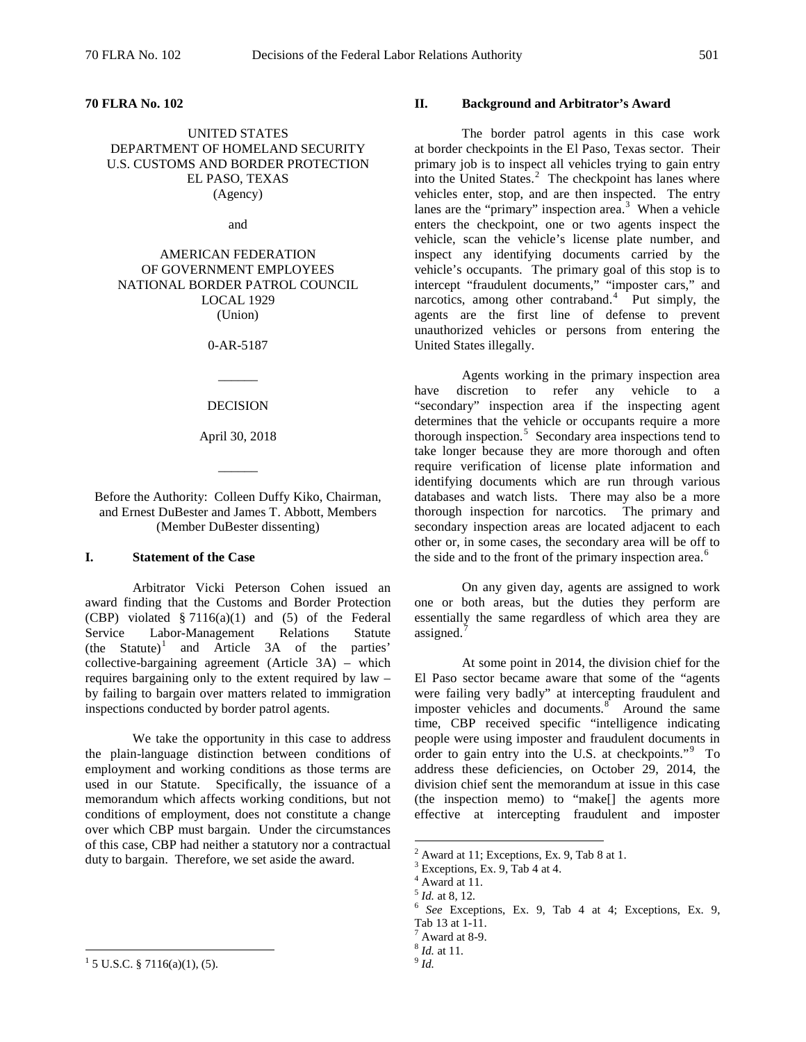UNITED STATES DEPARTMENT OF HOMELAND SECURITY U.S. CUSTOMS AND BORDER PROTECTION EL PASO, TEXAS (Agency)

and

AMERICAN FEDERATION OF GOVERNMENT EMPLOYEES NATIONAL BORDER PATROL COUNCIL LOCAL 1929 (Union)

0-AR-5187

 $\overline{\phantom{a}}$ 

#### DECISION

April 30, 2018

 $\overline{\phantom{a}}$ 

Before the Authority: Colleen Duffy Kiko, Chairman, and Ernest DuBester and James T. Abbott, Members (Member DuBester dissenting)

## **I. Statement of the Case**

Arbitrator Vicki Peterson Cohen issued an award finding that the Customs and Border Protection (CBP) violated  $\S 7116(a)(1)$  and (5) of the Federal Service Labor-Management Relations Statute<br>
(the Statute)<sup>1</sup> and Article 3A of the parties' and Article 3A of the parties' collective-bargaining agreement (Article 3A) – which requires bargaining only to the extent required by law – by failing to bargain over matters related to immigration inspections conducted by border patrol agents.

We take the opportunity in this case to address the plain-language distinction between conditions of employment and working conditions as those terms are used in our Statute. Specifically, the issuance of a memorandum which affects working conditions, but not conditions of employment, does not constitute a change over which CBP must bargain. Under the circumstances of this case, CBP had neither a statutory nor a contractual duty to bargain. Therefore, we set aside the award.

## <span id="page-0-7"></span><span id="page-0-6"></span><span id="page-0-5"></span><span id="page-0-4"></span><span id="page-0-3"></span><span id="page-0-2"></span><span id="page-0-1"></span><span id="page-0-0"></span> $1\overline{5}$  U.S.C. § 7116(a)(1), (5).

## **II. Background and Arbitrator's Award**

The border patrol agents in this case work at border checkpoints in the El Paso, Texas sector. Their primary job is to inspect all vehicles trying to gain entry into the United States. $2$  The checkpoint has lanes where vehicles enter, stop, and are then inspected. The entry lanes are the "primary" inspection area. $3$  When a vehicle enters the checkpoint, one or two agents inspect the vehicle, scan the vehicle's license plate number, and inspect any identifying documents carried by the vehicle's occupants. The primary goal of this stop is to intercept "fraudulent documents," "imposter cars," and narcotics, among other contraband.<sup>[4](#page-0-3)</sup> Put simply, the agents are the first line of defense to prevent unauthorized vehicles or persons from entering the United States illegally.

Agents working in the primary inspection area<br>liscretion to refer any vehicle to a have discretion to refer any "secondary" inspection area if the inspecting agent determines that the vehicle or occupants require a more thorough inspection.<sup>[5](#page-0-4)</sup> Secondary area inspections tend to take longer because they are more thorough and often require verification of license plate information and identifying documents which are run through various databases and watch lists. There may also be a more thorough inspection for narcotics. The primary and secondary inspection areas are located adjacent to each other or, in some cases, the secondary area will be off to the side and to the front of the primary inspection area.<sup>[6](#page-0-5)</sup>

On any given day, agents are assigned to work one or both areas, but the duties they perform are essentially the same regardless of which area they are assigned.<sup>[7](#page-0-6)</sup>

At some point in 2014, the division chief for the El Paso sector became aware that some of the "agents were failing very badly" at intercepting fraudulent and imposter vehicles and documents. $8^{\circ}$  $8^{\circ}$  Around the same time, CBP received specific "intelligence indicating people were using imposter and fraudulent documents in order to gain entry into the U.S. at checkpoints."<sup>[9](#page-0-0)</sup> To address these deficiencies, on October 29, 2014, the division chief sent the memorandum at issue in this case (the inspection memo) to "make[] the agents more effective at intercepting fraudulent and imposter

<sup>&</sup>lt;sup>2</sup> Award at 11; Exceptions, Ex. 9, Tab 8 at 1.<br><sup>3</sup> Exceptions, Ex. 9, Tab 4 at 4.<br><sup>4</sup> Award at 11.<br><sup>5</sup> *Id.* at 8, 12.

<sup>5</sup> *Id.* at 8, 12. <sup>6</sup> *See* Exceptions, Ex. 9, Tab 4 at 4; Exceptions, Ex. 9, Tab 13 at 1-11. 7 Award at 8-9. <sup>8</sup> *Id.* at 11. <sup>9</sup> *Id.*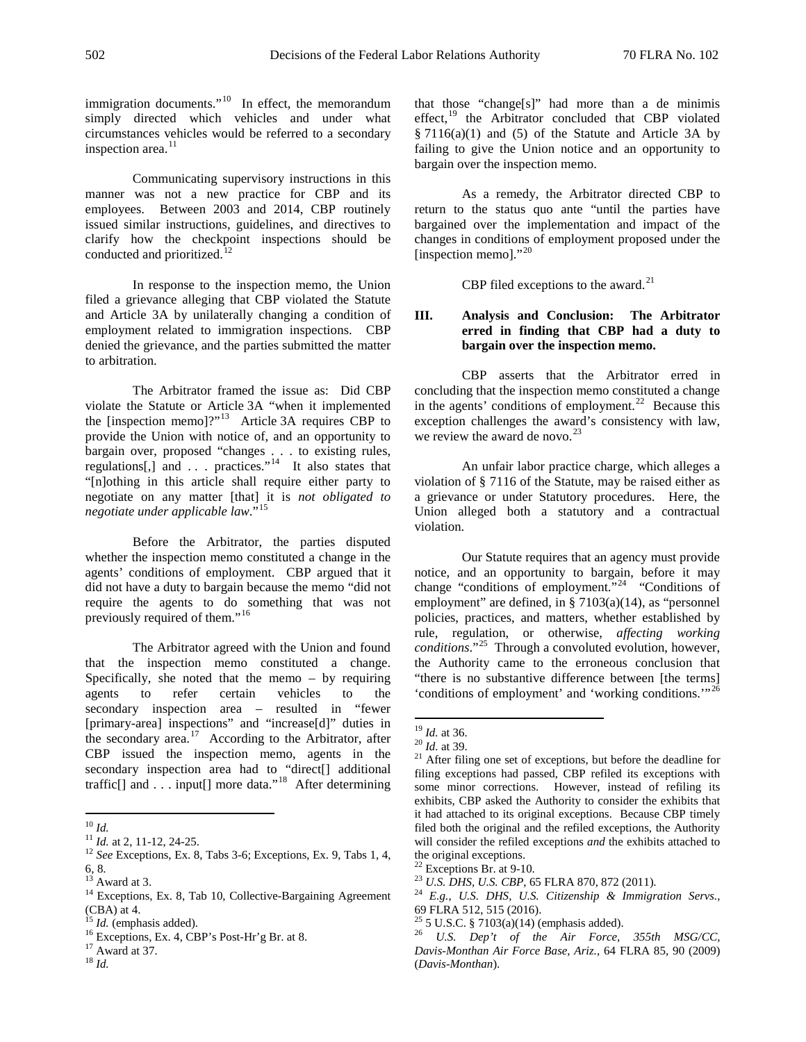immigration documents."<sup>10</sup> In effect, the memorandum simply directed which vehicles and under what circumstances vehicles would be referred to a secondary inspection area.<sup>[11](#page-1-1)</sup>

Communicating supervisory instructions in this manner was not a new practice for CBP and its employees. Between 2003 and 2014, CBP routinely issued similar instructions, guidelines, and directives to clarify how the checkpoint inspections should be conducted and prioritized.<sup>12</sup>

In response to the inspection memo, the Union filed a grievance alleging that CBP violated the Statute and Article 3A by unilaterally changing a condition of employment related to immigration inspections. CBP denied the grievance, and the parties submitted the matter to arbitration.

The Arbitrator framed the issue as: Did CBP violate the Statute or Article 3A "when it implemented the [inspection memo]?"[13](#page-1-3) Article 3A requires CBP to provide the Union with notice of, and an opportunity to bargain over, proposed "changes . . . to existing rules, regulations[,] and . . . practices."<sup>[14](#page-1-4)</sup> It also states that "[n]othing in this article shall require either party to negotiate on any matter [that] it is *not obligated to negotiate under applicable law*."[15](#page-1-5) 

Before the Arbitrator, the parties disputed whether the inspection memo constituted a change in the agents' conditions of employment. CBP argued that it did not have a duty to bargain because the memo "did not require the agents to do something that was not previously required of them."<sup>[16](#page-1-6)</sup>

<span id="page-1-9"></span>The Arbitrator agreed with the Union and found that the inspection memo constituted a change. Specifically, she noted that the memo  $-$  by requiring agents to refer certain vehicles to the secondary inspection area – resulted in "fewer [primary-area] inspections" and "increase[d]" duties in the secondary area.<sup>[17](#page-1-7)</sup> According to the Arbitrator, after CBP issued the inspection memo, agents in the secondary inspection area had to "direct[] additional traffic[] and . . . input[] more data."<sup>[18](#page-1-8)</sup> After determining

<span id="page-1-8"></span>

that those "change[s]" had more than a de minimis effect,<sup>[19](#page-1-9)</sup> the Arbitrator concluded that CBP violated § 7116(a)(1) and (5) of the Statute and Article 3A by failing to give the Union notice and an opportunity to bargain over the inspection memo.

As a remedy, the Arbitrator directed CBP to return to the status quo ante "until the parties have bargained over the implementation and impact of the changes in conditions of employment proposed under the [inspection memo]."<sup>[20](#page-1-10)</sup>

CBP filed exceptions to the award.<sup>[21](#page-1-11)</sup>

# **III. Analysis and Conclusion: The Arbitrator erred in finding that CBP had a duty to bargain over the inspection memo.**

CBP asserts that the Arbitrator erred in concluding that the inspection memo constituted a change in the agents' conditions of employment.<sup>22</sup> Because this exception challenges the award's consistency with law, we review the award de novo. $^{23}$  $^{23}$  $^{23}$ 

An unfair labor practice charge, which alleges a violation of § 7116 of the Statute, may be raised either as a grievance or under Statutory procedures. Here, the Union alleged both a statutory and a contractual violation.

Our Statute requires that an agency must provide notice, and an opportunity to bargain, before it may change "conditions of employment."[24](#page-1-4) "Conditions of employment" are defined, in  $\S 7103(a)(14)$ , as "personnel policies, practices, and matters, whether established by rule, regulation, or otherwise, *affecting working conditions*."[25](#page-1-5) Through a convoluted evolution, however, the Authority came to the erroneous conclusion that "there is no substantive difference between [the terms] 'conditions of employment' and 'working conditions.'"[26](#page-1-6)

<span id="page-1-2"></span>

<span id="page-1-11"></span><span id="page-1-10"></span><span id="page-1-1"></span><span id="page-1-0"></span><sup>&</sup>lt;sup>10</sup> *Id.* 11 *Id.* at 2, 11-12, 24-25. <sup>12</sup> *See* Exceptions, Ex. 8, Tabs 3-6; Exceptions, Ex. 9, Tabs 1, 4, 6, 8. 13 Award at 3. 14 Exceptions, Ex. 8, Tab 10, Collective-Bargaining Agreement

<span id="page-1-12"></span><span id="page-1-3"></span>

<span id="page-1-4"></span><sup>(</sup>CBA) at 4.<br> $^{15}$  *Id.* (emphasis added).

<span id="page-1-5"></span>

<span id="page-1-6"></span><sup>16</sup> Exceptions, Ex. 4, CBP's Post-Hr'g Br. at 8.<br><sup>17</sup> Award at 37.<br><sup>18</sup> *Id.* 

<span id="page-1-7"></span>

<sup>&</sup>lt;sup>19</sup> *Id.* at 36. <sup>20</sup> *Id.* at 39. <sup>21</sup> *After filing one set of exceptions, but before the deadline for* filing exceptions had passed, CBP refiled its exceptions with some minor corrections. However, instead of refiling its exhibits, CBP asked the Authority to consider the exhibits that it had attached to its original exceptions. Because CBP timely filed both the original and the refiled exceptions, the Authority will consider the refiled exceptions *and* the exhibits attached to the original exceptions.<br> $22$  Exceptions Br. at 9-10.

<sup>&</sup>lt;sup>23</sup> U.S. DHS, U.S. CBP[, 65 FLRA 870, 872 \(2011\).](http://web2.westlaw.com/find/default.wl?mt=LaborAndEmployment&db=0001028&rs=WLW13.10&tc=-1&rp=%2ffind%2fdefault.wl&findtype=Y&ordoc=2026187647&serialnum=2025401458&vr=2.0&fn=_top&sv=Split&tf=-1&referencepositiontype=S&pbc=5D352FFB&referenceposition=872&utid=3)<br><sup>24</sup> *E.g.*, *U.S. DHS, U.S. Citizenship & Immigration Servs.*, 69 FLRA 512, 515 (2016).<br><sup>25</sup> 5 U.S.C. § 7103(a)(14) (emphasis added).

<sup>&</sup>lt;sup>26</sup> U.S. Dep't of the Air Force, 355th MSG/CC, *Davis-Monthan Air Force Base, Ariz.*, 64 FLRA 85, 90 (2009) (*Davis-Monthan*).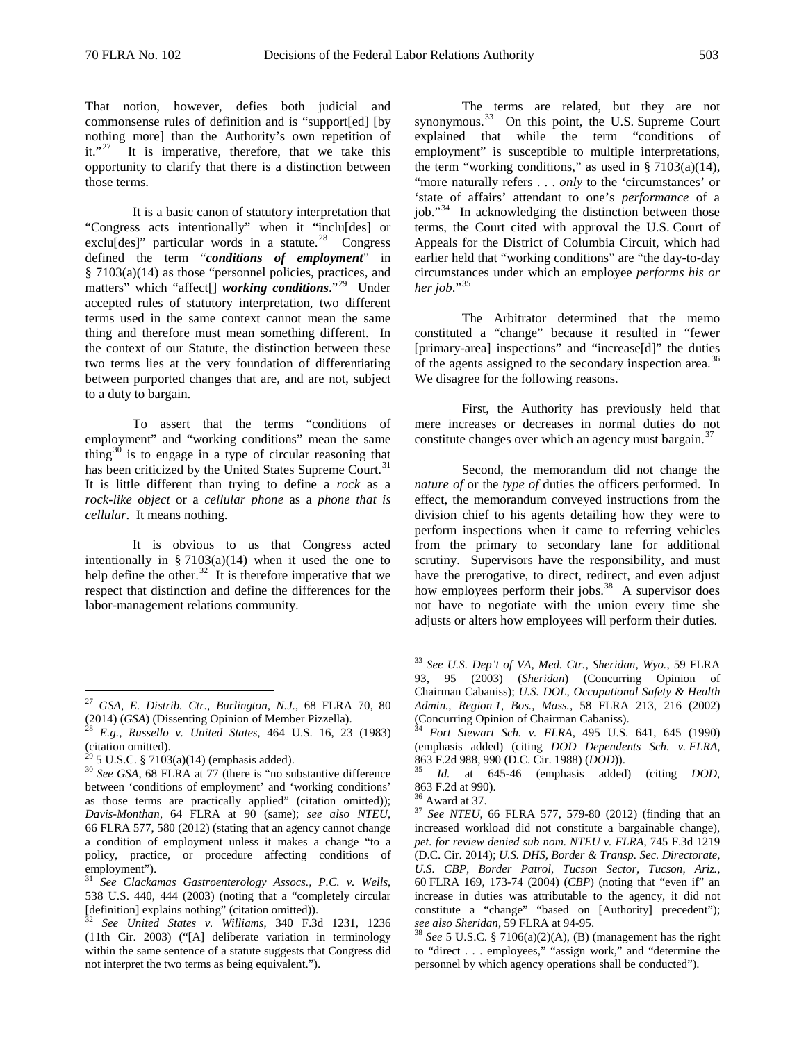those terms.

That notion, however, defies both judicial and commonsense rules of definition and is "support[ed] [by nothing more] than the Authority's own repetition of it." $27$  It is imperative, therefore, that we take this

It is a basic canon of statutory interpretation that "Congress acts intentionally" when it "inclu[des] or exclu[des]" particular words in a statute.<sup>28</sup> Congress defined the term "*conditions of employment*" in § 7103(a)(14) as those "personnel policies, practices, and matters" which "affect[] *working conditions*."[29](#page-2-2) Under accepted rules of statutory interpretation, two different terms used in the same context cannot mean the same thing and therefore must mean something different. In the context of our Statute, the distinction between these two terms lies at the very foundation of differentiating between purported changes that are, and are not, subject to a duty to bargain.

opportunity to clarify that there is a distinction between

To assert that the terms "conditions of employment" and "working conditions" mean the same thing<sup>[30](#page-2-3)</sup> is to engage in a type of circular reasoning that has been criticized by the United States Supreme Court.<sup>[31](#page-2-4)</sup> It is little different than trying to define a *rock* as a *rock-like object* or a *cellular phone* as a *phone that is cellular*. It means nothing.

It is obvious to us that Congress acted intentionally in  $\S 7103(a)(14)$  when it used the one to help define the other.<sup>[32](#page-2-5)</sup> It is therefore imperative that we respect that distinction and define the differences for the labor-management relations community.

The terms are related, but they are not synonymous.<sup>[33](#page-2-6)</sup> On this point, the U.S. Supreme Court explained that while the term "conditions of employment" is susceptible to multiple interpretations, the term "working conditions," as used in  $\S 7103(a)(14)$ , "more naturally refers . . . *only* to the 'circumstances' or 'state of affairs' attendant to one's *performance* of a job."[34](#page-2-1) In acknowledging the distinction between those terms, the Court cited with approval the U.S. Court of Appeals for the District of Columbia Circuit, which had earlier held that "working conditions" are "the day-to-day circumstances under which an employee *performs his or her job*."[35](#page-2-3)

The Arbitrator determined that the memo constituted a "change" because it resulted in "fewer [primary-area] inspections" and "increase[d]" the duties of the agents assigned to the secondary inspection area.<sup>[36](#page-2-7)</sup> We disagree for the following reasons.

First, the Authority has previously held that mere increases or decreases in normal duties do not constitute changes over which an agency must bargain.<sup>37</sup>

Second, the memorandum did not change the *nature of* or the *type of* duties the officers performed. In effect, the memorandum conveyed instructions from the division chief to his agents detailing how they were to perform inspections when it came to referring vehicles from the primary to secondary lane for additional scrutiny. Supervisors have the responsibility, and must have the prerogative, to direct, redirect, and even adjust how employees perform their jobs.<sup>38</sup> A supervisor does not have to negotiate with the union every time she adjusts or alters how employees will perform their duties.

<span id="page-2-6"></span><span id="page-2-0"></span> <sup>27</sup> *GSA, E. Distrib. Ctr., Burlington, N.J.*, 68 FLRA 70, 80 (2014) (*GSA*) (Dissenting Opinion of Member Pizzella). 28 *E.g.*, *Russello v. United States*, 464 U.S. 16, 23 (1983)

<span id="page-2-1"></span><sup>(</sup>citation omitted).<br> $^{29}$  5 U.S.C. § 7103(a)(14) (emphasis added).

<span id="page-2-8"></span><span id="page-2-7"></span><span id="page-2-3"></span><span id="page-2-2"></span><sup>&</sup>lt;sup>30</sup> See GSA, 68 FLRA at 77 (there is "no substantive difference between 'conditions of employment' and 'working conditions' as those terms are practically applied" (citation omitted)); *Davis-Monthan*, 64 FLRA at 90 (same); *see also NTEU*, 66 FLRA 577, 580 (2012) (stating that an agency cannot change a condition of employment unless it makes a change "to a policy, practice, or procedure affecting conditions of employment").

<span id="page-2-4"></span><sup>31</sup> *See Clackamas Gastroenterology Assocs., P.C. v. Wells*, 538 U.S. 440, 444 (2003) (noting that a "completely circular [definition] explains nothing" (citation omitted)).

<span id="page-2-9"></span><span id="page-2-5"></span><sup>32</sup> *See United States v. Williams*, 340 F.3d 1231, 1236 (11th Cir. 2003) ("[A] deliberate variation in terminology within the same sentence of a statute suggests that Congress did not interpret the two terms as being equivalent.").

 <sup>33</sup> *See U.S. Dep't of VA, Med. Ctr., Sheridan, Wyo.*, 59 FLRA 93, 95 (2003) (*Sheridan*) (Concurring Opinion of Chairman Cabaniss); *U.S. DOL, Occupational Safety & Health Admin., Region 1, Bos., Mass.*, 58 FLRA 213, 216 (2002)

Fort Stewart Sch. v. FLRA, 495 U.S. 641, 645 (1990). (emphasis added) (citing *DOD Dependents Sch. v. FLRA*, <sup>863</sup> F.2d 988, 990 (D.C. Cir. 1988) (*DOD*)). <sup>35</sup> *Id.* at 645-46 (emphasis added) (citing *DOD*,

<sup>863</sup> F.2d at 990). <sup>36</sup> Award at 37. <sup>37</sup> *See NTEU*, 66 FLRA 577, 579-80 (2012) (finding that an increased workload did not constitute a bargainable change), *pet. for review denied sub nom. NTEU v. FLRA*, 745 F.3d 1219 (D.C. Cir. 2014); *U.S. DHS, Border & Transp. Sec. Directorate, U.S. CBP, Border Patrol, Tucson Sector, Tucson, Ariz.*, 60 FLRA 169, 173-74 (2004) (*CBP*) (noting that "even if" an increase in duties was attributable to the agency, it did not constitute a "change" "based on [Authority] precedent");

*see also Sheridan*, 59 FLRA at 94-95. <sup>38</sup> *See* 5 U.S.C. § 7106(a)(2)(A), (B) (management has the right to "direct . . . employees," "assign work," and "determine the personnel by which agency operations shall be conducted").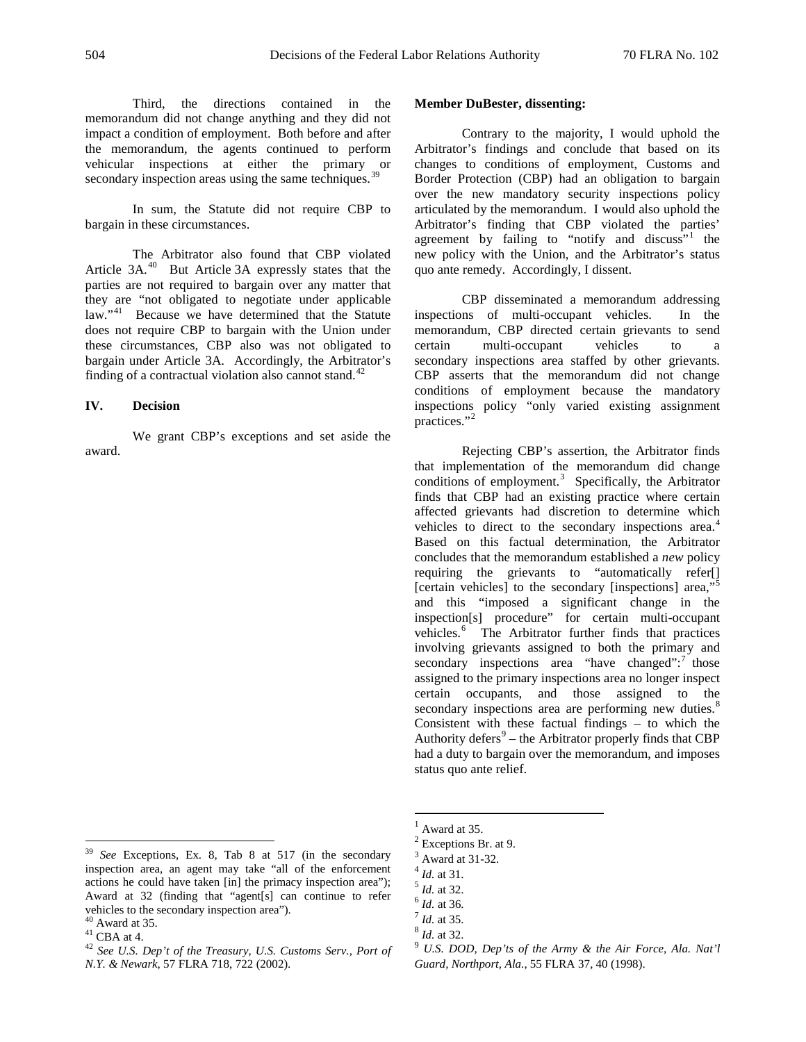**Member DuBester, dissenting:**

Third, the directions contained in the memorandum did not change anything and they did not impact a condition of employment. Both before and after the memorandum, the agents continued to perform vehicular inspections at either the primary or secondary inspection areas using the same techniques.<sup>[39](#page-3-0)</sup>

In sum, the Statute did not require CBP to bargain in these circumstances.

The Arbitrator also found that CBP violated Article 3A.<sup>[40](#page-3-1)</sup> But Article 3A expressly states that the parties are not required to bargain over any matter that they are "not obligated to negotiate under applicable law."<sup>[41](#page-3-2)</sup> Because we have determined that the Statute does not require CBP to bargain with the Union under these circumstances, CBP also was not obligated to bargain under Article 3A. Accordingly, the Arbitrator's finding of a contractual violation also cannot stand.<sup>[42](#page-3-3)</sup>

#### **IV. Decision**

We grant CBP's exceptions and set aside the award.

Contrary to the majority, I would uphold the Arbitrator's findings and conclude that based on its changes to conditions of employment, Customs and Border Protection (CBP) had an obligation to bargain over the new mandatory security inspections policy articulated by the memorandum. I would also uphold the Arbitrator's finding that CBP violated the parties' agreement by failing to "notify and discuss"<sup>[1](#page-3-4)</sup> the new policy with the Union, and the Arbitrator's status quo ante remedy. Accordingly, I dissent.

CBP disseminated a memorandum addressing inspections of multi-occupant vehicles. In the memorandum, CBP directed certain grievants to send certain multi-occupant vehicles to a secondary inspections area staffed by other grievants. CBP asserts that the memorandum did not change conditions of employment because the mandatory inspections policy "only varied existing assignment practices."<sup>[2](#page-3-5)</sup>

Rejecting CBP's assertion, the Arbitrator finds that implementation of the memorandum did change conditions of employment. [3](#page-3-6) Specifically, the Arbitrator finds that CBP had an existing practice where certain affected grievants had discretion to determine which vehicles to direct to the secondary inspections area.<sup>[4](#page-3-7)</sup> Based on this factual determination, the Arbitrator concludes that the memorandum established a *new* policy requiring the grievants to "automatically refer[] [certain vehicles] to the secondary [inspections] area,"<sup>[5](#page-3-8)</sup> and this "imposed a significant change in the inspection[s] procedure" for certain multi-occupant vehicles.<sup>[6](#page-3-9)</sup> The Arbitrator further finds that practices involving grievants assigned to both the primary and secondary inspections area "have changed": $\frac{7}{1}$  $\frac{7}{1}$  $\frac{7}{1}$  those assigned to the primary inspections area no longer inspect certain occupants, and those assigned to the secondary inspections area are performing new duties. $8$ Consistent with these factual findings – to which the Authority defers $9$  – the Arbitrator properly finds that CBP had a duty to bargain over the memorandum, and imposes status quo ante relief.

<span id="page-3-8"></span><span id="page-3-7"></span><span id="page-3-6"></span><span id="page-3-5"></span><span id="page-3-4"></span><span id="page-3-0"></span> <sup>39</sup> *See* Exceptions, Ex. 8, Tab 8 at 517 (in the secondary inspection area, an agent may take "all of the enforcement actions he could have taken [in] the primacy inspection area"); Award at 32 (finding that "agent[s] can continue to refer vehicles to the secondary inspection area").  $40$  Award at 35.

<span id="page-3-9"></span>

<span id="page-3-12"></span><span id="page-3-3"></span><span id="page-3-2"></span>

<span id="page-3-11"></span><span id="page-3-10"></span><span id="page-3-1"></span><sup>41</sup> CBA at 4.<br><sup>41</sup> CBA at 4.<br><sup>42</sup> *See U.S. Dep't of the Treasury, U.S. Customs Serv., Port of N.Y. & Newark*, 57 FLRA 718, 722 (2002).

Award at 35.

 $\frac{2}{3}$  Exceptions Br. at 9.<br> $\frac{3}{3}$  Award at 31-32.

<sup>&</sup>lt;sup>4</sup> *Id.* at 31.<br><sup>5</sup> *Id.* at 32.<br><sup>6</sup> *Id.* at 35.<br><sup>8</sup> *Id.* at 32.<br><sup>9</sup> *U.S. DOD, Dep'ts of the Army & the Air Force, Ala. Nat'l* 

*Guard, Northport, Ala.*, 55 FLRA 37, 40 (1998).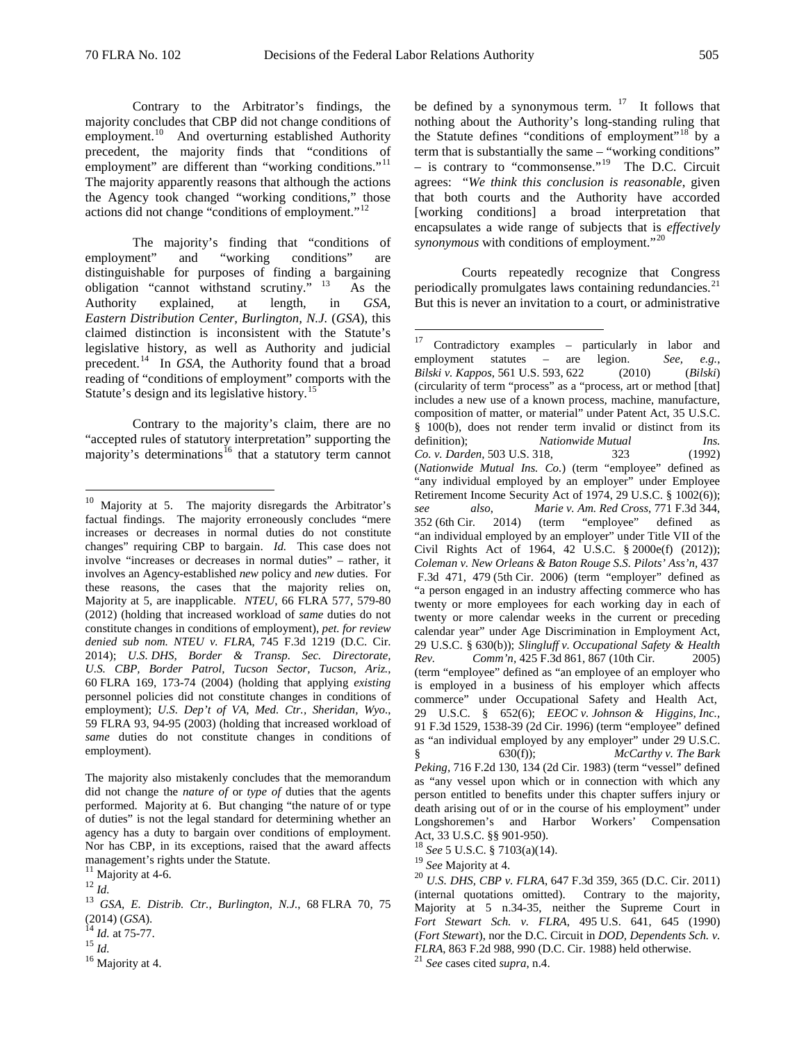Contrary to the Arbitrator's findings, the majority concludes that CBP did not change conditions of employment.<sup>[10](#page-4-0)</sup> And overturning established Authority precedent, the majority finds that "conditions of employment" are different than "working conditions."<sup>[11](#page-4-1)</sup> The majority apparently reasons that although the actions the Agency took changed "working conditions," those actions did not change "conditions of employment."[12](#page-4-2)

The majority's finding that "conditions of nent" and "working conditions" are employment" and "working conditions" are distinguishable for purposes of finding a bargaining obligation "cannot withstand scrutiny." [13](#page-4-3) As the Authority explained, at length, in *GSA, Eastern Distribution Center, Burlington, N.J.* (*GSA*), this claimed distinction is inconsistent with the Statute's legislative history, as well as Authority and judicial precedent.[14](#page-4-4) In *GSA*, the Authority found that a broad reading of "conditions of employment" comports with the Statute's design and its legislative history.<sup>15</sup>

<span id="page-4-7"></span>Contrary to the majority's claim, there are no "accepted rules of statutory interpretation" supporting the majority's determinations<sup>[16](#page-4-6)</sup> that a statutory term cannot be defined by a synonymous term.  $17$  It follows that nothing about the Authority's long-standing ruling that the Statute defines "conditions of employment"<sup>[18](#page-4-8)</sup> by a term that is substantially the same – "working conditions"  $-$  is contrary to "commonsense."<sup>19</sup> The D.C. Circuit agrees: "*We think this conclusion is reasonable*, given that both courts and the Authority have accorded [working conditions] a broad interpretation that encapsulates a wide range of subjects that is *effectively synonymous* with conditions of employment."[20](#page-4-10)

Courts repeatedly recognize that Congress periodically promulgates laws containing redundancies. $^{21}$  $^{21}$  $^{21}$ But this is never an invitation to a court, or administrative

<span id="page-4-0"></span><sup>&</sup>lt;sup>10</sup> Majority at 5. The majority disregards the Arbitrator's factual findings. The majority erroneously concludes "mere increases or decreases in normal duties do not constitute changes" requiring CBP to bargain. *Id.* This case does not involve "increases or decreases in normal duties" – rather, it involves an Agency-established *new* policy and *new* duties. For these reasons, the cases that the majority relies on, Majority at 5, are inapplicable. *NTEU*, 66 FLRA 577, 579-80 (2012) (holding that increased workload of *same* duties do not constitute changes in conditions of employment), *pet. for review denied sub nom. NTEU v. FLRA*, 745 F.3d 1219 (D.C. Cir. 2014); *U.S. DHS, Border & Transp. Sec. Directorate, U.S. CBP, Border Patrol, Tucson Sector, Tucson, Ariz.*, 60 FLRA 169, 173-74 (2004) (holding that applying *existing*  personnel policies did not constitute changes in conditions of employment); *U.S. Dep't of VA, Med. Ctr., Sheridan, Wyo.*, 59 FLRA 93, 94-95 (2003) (holding that increased workload of *same* duties do not constitute changes in conditions of employment).

The majority also mistakenly concludes that the memorandum did not change the *nature of* or *type of* duties that the agents performed. Majority at 6. But changing "the nature of or type of duties" is not the legal standard for determining whether an agency has a duty to bargain over conditions of employment. Nor has CBP, in its exceptions, raised that the award affects management's rights under the Statute.<br> $11$  Majority at 4-6.

<span id="page-4-8"></span>

<span id="page-4-10"></span><span id="page-4-9"></span><span id="page-4-2"></span><span id="page-4-1"></span><sup>12</sup> *Id.*<br><sup>13</sup> *GSA, E. Distrib. Ctr., Burlington, N.J.*, 68 FLRA 70, 75

<span id="page-4-6"></span><span id="page-4-5"></span>

<span id="page-4-4"></span><span id="page-4-3"></span><sup>(2014) (</sup>*GSA*). <sup>14</sup> *Id.* at 75-77. <sup>15</sup> *Id.* <sup>16</sup> Majority at 4.

 <sup>17</sup> Contradictory examples – particularly in labor and employment statutes – are legion. *See, e.g.*, *Bilski v. [Kappos](https://1.next.westlaw.com/Link/Document/FullText?findType=Y&serNum=2022394590&pubNum=0000708&originatingDoc=I7f92ae10d49e11e78c5db03c58f2bc1d&refType=RP&originationContext=document&transitionType=DocumentItem&contextData=(sc.Keycite))*, 561 U.S. 593, 622 (2010) (*Bilski*) (circularity of term "process" as a "process, art or method [that] includes a new use of a known process, machine, manufacture, composition of matter, or material" under Patent Act, 35 U.S.C. § 100(b), does not render term invalid or distinct from its definition); *Nationwide Mutual Ins. Co. v. Darden,* 503 U.S. 318, 323 (1992) (*Nationwide Mutual Ins. Co.*) (term "employee" defined as "any individual employed by an employer" under Employee Retirement Income Security Act of 1974, 29 U.S.C. § 1002(6));<br>see also, Marie v. Am. Red Cross, 771 F.3d 344, *see also*, *Marie v. Am. Red Cross*, 771 F.3d 344, 352 (6th Cir. 2014) (term "employee" defined as "an individual employed by an employer" under Title VII of the Civil Rights Act of 1964, 42 U.S.C. § 2000e(f) (2012)); *Coleman v. New Orleans & Baton Rouge S.S. Pilots' Ass'n,* 437 F.3d 471, 479 (5th Cir. 2006) (term "employer" defined as "a person engaged in an industry affecting commerce who has twenty or more employees for each working day in each of twenty or more calendar weeks in the current or preceding calendar year" under Age Discrimination in Employment Act, 29 U.S.C. § 630(b)); *Slingluff v. [Occupational Safety & Health](https://1.next.westlaw.com/Link/Document/FullText?findType=Y&serNum=2007365532&pubNum=506&originatingDoc=Ifaa40ca3fca611df88699d6fd571daba&refType=RP&fi=co_pp_sp_506_868&originationContext=document&transitionType=DocumentItem&contextData=(sc.Keycite)#co_pp_sp_506_868)  [Rev. Comm'n,](https://1.next.westlaw.com/Link/Document/FullText?findType=Y&serNum=2007365532&pubNum=506&originatingDoc=Ifaa40ca3fca611df88699d6fd571daba&refType=RP&fi=co_pp_sp_506_868&originationContext=document&transitionType=DocumentItem&contextData=(sc.Keycite)#co_pp_sp_506_868)* 425 F.3d 861, 867 (10th Cir. 2005) (term "employee" defined as "an employee of an employer who is employed in a business of his employer which affects commerce" under Occupational Safety and Health Act, 29 U.S.C. § 652(6); *EEOC v. Johnson & Higgins, Inc.,* 91 F.3d 1529, 1538-39 (2d Cir. 1996) (term "employee" defined as "an individual employed by any employer" under 29 U.S.C. § 630(f)); *McCarthy v. The Bark Peking,* 716 F.2d 130, 134 (2d Cir. 1983) (term "vessel" defined as "any vessel upon which or in connection with which any person entitled to benefits under this chapter suffers injury or death arising out of or in the course of his employment" under Longshoremen's and Harbor Workers' Compensation Act, 33 U.S.C. §§ 901-950).

<sup>&</sup>lt;sup>18</sup> See 5 U.S.C. § 7103(a)(14).<br><sup>19</sup> See Majority at 4.

<sup>&</sup>lt;sup>20</sup> *U.S. DHS, CBP v. FLRA, 647 F.3d 359, 365 (D.C. Cir. 2011)* (internal quotations omitted). Contrary to the majority, Majority at 5 n.34-35, neither the Supreme Court in *Fort Stewart Sch. v. FLRA*, 495 U.S. 641, 645 (1990) (*Fort Stewart*), nor the D.C. Circuit in *DOD, Dependents Sch. v. FLRA*, <sup>863</sup> F.2d 988, 990 (D.C. Cir. 1988) held otherwise. <sup>21</sup> *See* cases cited *supra*, n.4.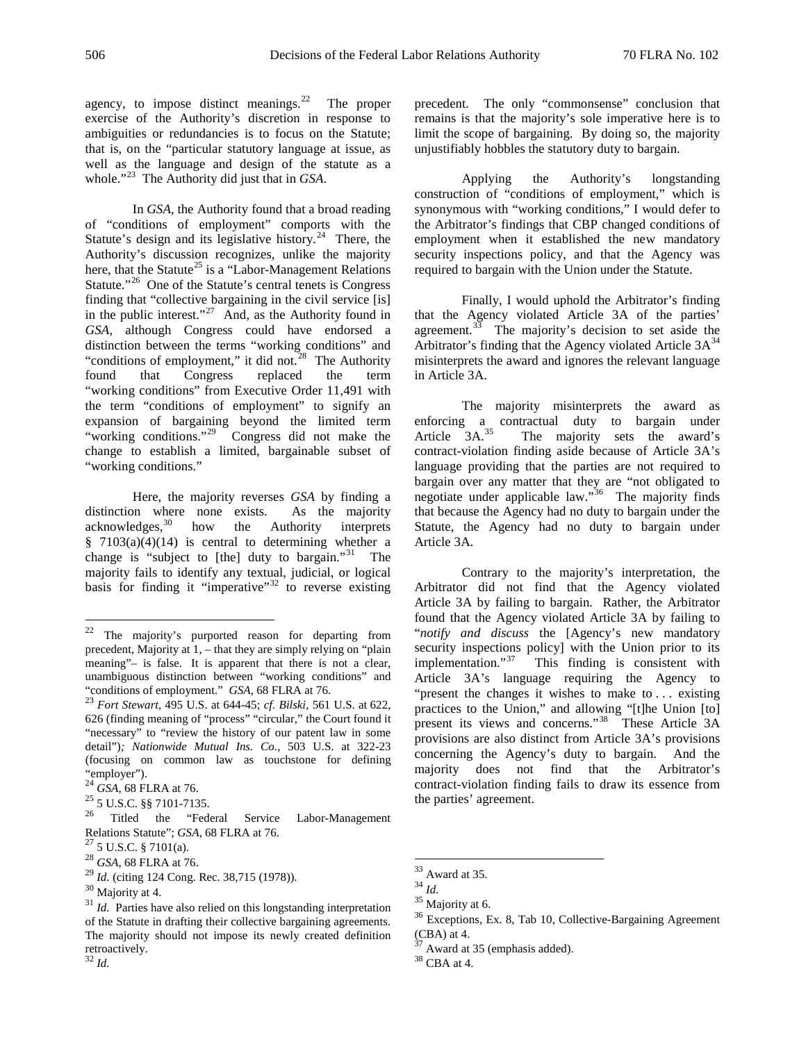agency, to impose distinct meanings.<sup>22</sup> The proper exercise of the Authority's discretion in response to ambiguities or redundancies is to focus on the Statute; that is, on the "particular statutory language at issue, as well as the language and design of the statute as a whole."<sup>[23](#page-5-1)</sup> The Authority did just that in *GSA*.

In *GSA*, the Authority found that a broad reading of "conditions of employment" comports with the Statute's design and its legislative history.<sup>[24](#page-5-2)</sup> There, the Authority's discussion recognizes, unlike the majority here, that the Statute<sup>[25](#page-5-3)</sup> is a "Labor-Management Relations" Statute."<sup>[26](#page-5-4)</sup> One of the Statute's central tenets is Congress finding that "collective bargaining in the civil service [is] in the public interest."<sup>[27](#page-5-5)</sup> And, as the Authority found in *GSA*, although Congress could have endorsed a distinction between the terms "working conditions" and "conditions of employment," it did not. $28$  The Authority found that Congress replaced the term "working conditions" from Executive Order 11,491 with the term "conditions of employment" to signify an expansion of bargaining beyond the limited term "working conditions."<sup>[29](#page-5-7)</sup> Congress did not make the change to establish a limited, bargainable subset of "working conditions."

Here, the majority reverses *GSA* by finding a distinction where none exists. As the majority acknowledges,  $30$  how the Authority interprets the Authority interprets § 7103(a)(4)(14) is central to determining whether a change is "subject to [the] duty to bargain."<sup>31</sup> The majority fails to identify any textual, judicial, or logical basis for finding it "imperative" $32$  to reverse existing precedent. The only "commonsense" conclusion that remains is that the majority's sole imperative here is to limit the scope of bargaining. By doing so, the majority unjustifiably hobbles the statutory duty to bargain.

Applying the Authority's longstanding construction of "conditions of employment," which is synonymous with "working conditions," I would defer to the Arbitrator's findings that CBP changed conditions of employment when it established the new mandatory security inspections policy, and that the Agency was required to bargain with the Union under the Statute.

Finally, I would uphold the Arbitrator's finding that the Agency violated Article 3A of the parties' agreement. $33$  The majority's decision to set aside the Arbitrator's finding that the Agency violated Article  $3A^{34}$  $3A^{34}$  $3A^{34}$ misinterprets the award and ignores the relevant language in Article 3A.

The majority misinterprets the award as enforcing a contractual duty to bargain under<br>Article 3A.<sup>35</sup> The majority sets the award's The majority sets the award's contract-violation finding aside because of Article 3A's language providing that the parties are not required to bargain over any matter that they are "not obligated to negotiate under applicable law."[36](#page-5-14) The majority finds that because the Agency had no duty to bargain under the Statute, the Agency had no duty to bargain under Article 3A.

Contrary to the majority's interpretation, the Arbitrator did not find that the Agency violated Article 3A by failing to bargain. Rather, the Arbitrator found that the Agency violated Article 3A by failing to "*notify and discuss* the [Agency's new mandatory security inspections policy] with the Union prior to its<br>implementation."<sup>37</sup> This finding is consistent with This finding is consistent with Article 3A's language requiring the Agency to "present the changes it wishes to make to . . . existing practices to the Union," and allowing "[t]he Union [to] present its views and concerns."[38](#page-5-10) These Article 3A provisions are also distinct from Article 3A's provisions concerning the Agency's duty to bargain. And the majority does not find that the Arbitrator's contract-violation finding fails to draw its essence from the parties' agreement.

<span id="page-5-0"></span> <sup>22</sup> The majority's purported reason for departing from precedent, Majority at 1, – that they are simply relying on "plain meaning"– is false. It is apparent that there is not a clear, unambiguous distinction between "working conditions" and "conditions of employment." *GSA*, 68 FLRA at 76. 23 *Fort Stewart*, 495 U.S. at 644-45; *cf. Bilski,* 561 U.S. at 622,

<span id="page-5-1"></span><sup>626</sup> (finding meaning of "process" "circular," the Court found it "necessary" to "review the history of our patent law in some detail")*; Nationwide Mutual Ins. Co.,* 503 U.S. at 322-23 (focusing on common law as touchstone for defining

<span id="page-5-4"></span><span id="page-5-3"></span>

<span id="page-5-2"></span><sup>&</sup>quot;employer").<br><sup>24</sup> *GSA*, 68 FLRA at 76.<br><sup>25</sup> 5 U.S.C. §§ 7101-7135.<br><sup>26</sup> Titled the "Federal Service Labor-Management [Relations](https://1.next.westlaw.com/Link/Document/FullText?findType=L&pubNum=1000546&cite=5USCAS7122&originatingDoc=Id3bdffa72d6611db8ac4e022126eafc3&refType=LQ&originationContext=document&transitionType=DocumentItem&contextData=(sc.Search)) Statute"; *GSA*, 68 FLRA at 76.<br><sup>27</sup> 5 U.S.C. § 7101(a).<br><sup>28</sup> *GSA*, 68 FLRA at 76.<br><sup>29</sup> *Id.* (citing 124 Cong. Rec. 38,715 (1978)).

<span id="page-5-5"></span>

<span id="page-5-6"></span>

<span id="page-5-11"></span><span id="page-5-7"></span>

<span id="page-5-14"></span><span id="page-5-9"></span>

<span id="page-5-13"></span><span id="page-5-12"></span><span id="page-5-8"></span><sup>&</sup>lt;sup>30</sup> Majority at 4.<br><sup>31</sup> *Id.* Parties have also relied on this longstanding interpretation of the Statute in drafting their collective bargaining agreements. The majority should not impose its newly created definition retroactively.

<span id="page-5-15"></span><span id="page-5-10"></span><sup>32</sup> *Id.*

<sup>&</sup>lt;sup>33</sup> Award at 35.<br><sup>34</sup> *Id.* <sup>35</sup> Majority at 6.<br><sup>36</sup> Exceptions, Ex. 8, Tab 10, Collective-Bargaining Agreement (CBA) at 4.  $37 \text{ Award at } 35$  (emphasis added).  $38 \text{ CBA at } 4$ .